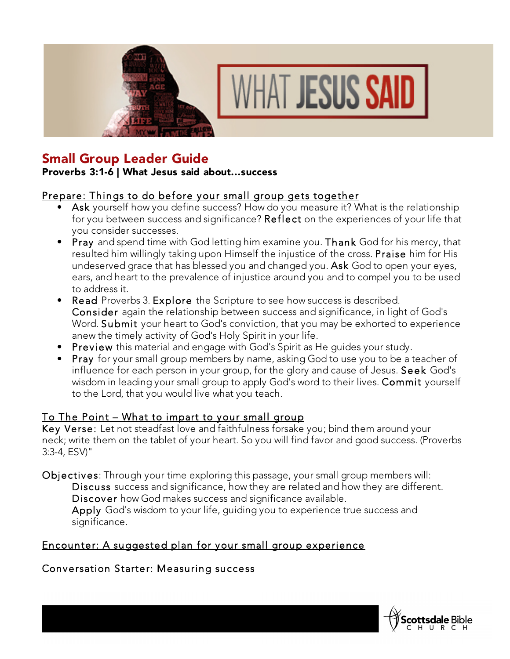



# Small Group Leader Guide

#### Proverbs 3:1-6 | What Jesus said about...success

### Prepare: Things to do before your small group gets together

- Ask yourself how you define success? How do you measure it? What is the relationship for you between success and significance? Reflect on the experiences of your life that you consider successes.
- Pray and spend time with God letting him examine you. Thank God for his mercy, that resulted him willingly taking upon Himself the injustice of the cross. Praise him for His undeserved grace that has blessed you and changed you. Ask God to open your eyes, ears, and heart to the prevalence of injustice around you and to compel you to be used to address it.
- Read Proverbs 3. Explore the Scripture to see how success is described. Consider again the relationship between success and significance, in light of God's Word. Submit your heart to God's conviction, that you may be exhorted to experience anew the timely activity of God's Holy Spirit in your life.
- Preview this material and engage with God's Spirit as He guides your study.
- Pray for your small group members by name, asking God to use you to be a teacher of influence for each person in your group, for the glory and cause of Jesus. Seek God's wisdom in leading your small group to apply God's word to their lives. Commit yourself to the Lord, that you would live what you teach.

#### To The Point – What to impart to your small group

Key Verse: Let not steadfast love and faithfulness forsake you; bind them around your neck; write them on the tablet of your heart. So you will find favor and good success. (Proverbs 3:3-4, ESV)"

Objectives: Through your time exploring this passage, your small group members will: Discuss success and significance, how they are related and how they are different. Discover how God makes success and significance available. Apply God's wisdom to your life, guiding you to experience true success and significance.

# Encounter: A suggested plan for your small group experience

# Conversation Starter: Measuring success

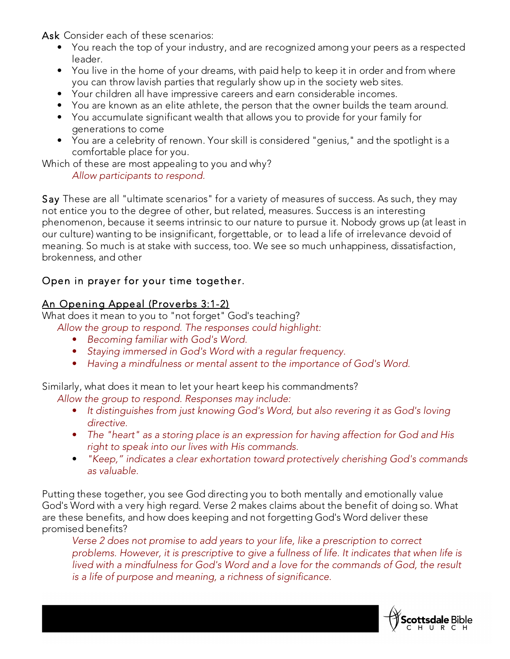Ask Consider each of these scenarios:

- You reach the top of your industry, and are recognized among your peers as a respected leader.
- You live in the home of your dreams, with paid help to keep it in order and from where you can throw lavish parties that regularly show up in the society web sites.
- Your children all have impressive careers and earn considerable incomes.
- You are known as an elite athlete, the person that the owner builds the team around.
- You accumulate significant wealth that allows you to provide for your family for generations to come
- You are a celebrity of renown. Your skill is considered "genius," and the spotlight is a comfortable place for you.

Which of these are most appealing to you and why?

*Allow participants to respond.*

Say These are all "ultimate scenarios" for a variety of measures of success. As such, they may not entice you to the degree of other, but related, measures. Success is an interesting phenomenon, because it seems intrinsic to our nature to pursue it. Nobody grows up (at least in our culture) wanting to be insignificant, forgettable, or to lead a life of irrelevance devoid of meaning. So much is at stake with success, too. We see so much unhappiness, dissatisfaction, brokenness, and other

# Open in prayer for your time together.

### An Opening Appeal (Proverbs 3:1-2)

What does it mean to you to "not forget" God's teaching?

- *Allow the group to respond. The responses could highlight:*
	- *Becoming familiar with God's Word.*
	- *Staying immersed in God's Word with a regular frequency.*
	- *Having a mindfulness or mental assent to the importance of God's Word.*

Similarly, what does it mean to let your heart keep his commandments?

*Allow the group to respond. Responses may include:*

- *It distinguishes from just knowing God's Word, but also revering it as God's loving directive.*
- *The "heart" as a storing place is an expression for having affection for God and His right to speak into our lives with His commands.*
- *"Keep," indicates a clear exhortation toward protectively cherishing God's commands as valuable.*

Putting these together, you see God directing you to both mentally and emotionally value God's Word with a very high regard. Verse 2 makes claims about the benefit of doing so. What are these benefits, and how does keeping and not forgetting God's Word deliver these promised benefits?

*Verse 2 does not promise to add years to your life, like a prescription to correct problems. However, it is prescriptive to give a fullness of life. It indicates that when life is lived with a mindfulness for God's Word and a love for the commands of God, the result is a life of purpose and meaning, a richness of significance.*

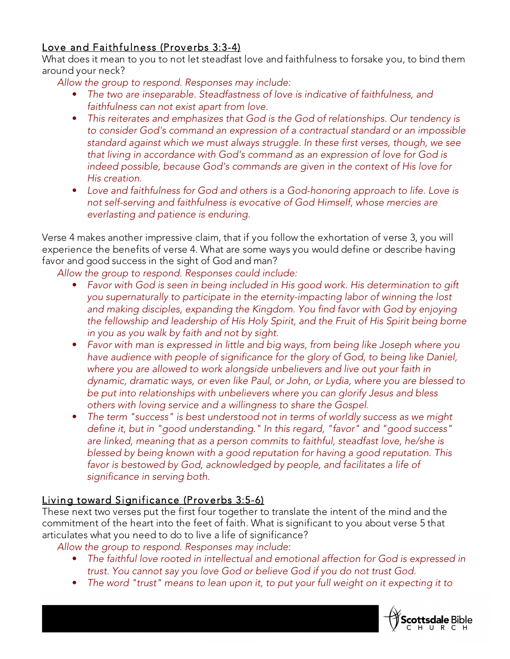# Love and Faithfulness (Proverbs 3:3-4)

What does it mean to you to not let steadfast love and faithfulness to forsake you, to bind them around your neck?

*Allow the group to respond. Responses may include:*

- *The two are inseparable. Steadfastness of love is indicative of faithfulness, and faithfulness can not exist apart from love.*
- *This reiterates and emphasizes that God is the God of relationships. Our tendency is to consider God's command an expression of a contractual standard or an impossible standard against which we must always struggle. In these first verses, though, we see that living in accordance with God's command as an expression of love for God is indeed possible, because God's commands are given in the context of His love for His creation.*
- *Love and faithfulness for God and others is a God-honoring approach to life. Love is not self-serving and faithfulness is evocative of God Himself, whose mercies are everlasting and patience is enduring.*

Verse 4 makes another impressive claim, that if you follow the exhortation of verse 3, you will experience the benefits of verse 4. What are some ways you would define or describe having favor and good success in the sight of God and man?

*Allow the group to respond. Responses could include:*

- *Favor with God is seen in being included in His good work. His determination to gift you supernaturally to participate in the eternity-impacting labor of winning the lost*  and making disciples, expanding the Kingdom. You find favor with God by enjoying *the fellowship and leadership of His Holy Spirit, and the Fruit of His Spirit being borne in you as you walk by faith and not by sight.*
- *Favor with man is expressed in little and big ways, from being like Joseph where you have audience with people of significance for the glory of God, to being like Daniel, where you are allowed to work alongside unbelievers and live out your faith in dynamic, dramatic ways, or even like Paul, or John, or Lydia, where you are blessed to be put into relationships with unbelievers where you can glorify Jesus and bless others with loving service and a willingness to share the Gospel.*
- *The term "success" is best understood not in terms of worldly success as we might define it, but in "good understanding." In this regard, "favor" and "good success" are linked, meaning that as a person commits to faithful, steadfast love, he/she is blessed by being known with a good reputation for having a good reputation. This favor is bestowed by God, acknowledged by people, and facilitates a life of significance in serving both.*

# Living toward Significance (Proverbs 3:5-6)

These next two verses put the first four together to translate the intent of the mind and the commitment of the heart into the feet of faith. What is significant to you about verse 5 that articulates what you need to do to live a life of significance?

*Allow the group to respond. Responses may include:*

- *The faithful love rooted in intellectual and emotional affection for God is expressed in trust. You cannot say you love God or believe God if you do not trust God.*
- *The word "trust" means to lean upon it, to put your full weight on it expecting it to*

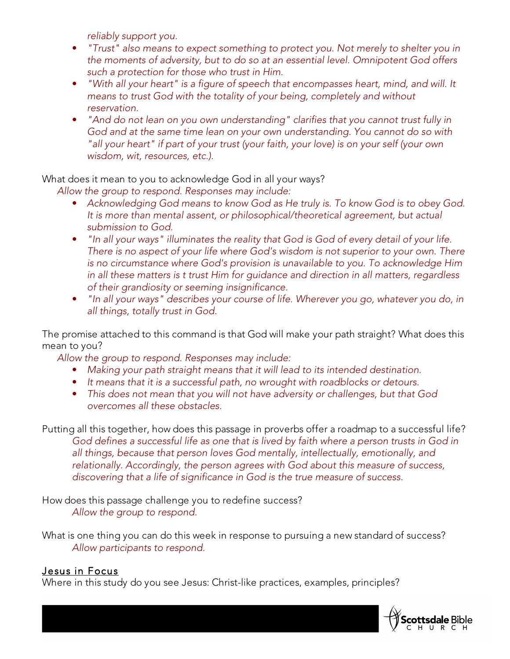*reliably support you.*

- *"Trust" also means to expect something to protect you. Not merely to shelter you in the moments of adversity, but to do so at an essential level. Omnipotent God offers such a protection for those who trust in Him.*
- *"With all your heart" is a figure of speech that encompasses heart, mind, and will. It means to trust God with the totality of your being, completely and without reservation.*
- *"And do not lean on you own understanding" clarifies that you cannot trust fully in God and at the same time lean on your own understanding. You cannot do so with "all your heart" if part of your trust (your faith, your love) is on your self (your own wisdom, wit, resources, etc.).*

What does it mean to you to acknowledge God in all your ways?

*Allow the group to respond. Responses may include:*

- *Acknowledging God means to know God as He truly is. To know God is to obey God. It is more than mental assent, or philosophical/theoretical agreement, but actual submission to God.*
- *"In all your ways" illuminates the reality that God is God of every detail of your life. There is no aspect of your life where God's wisdom is not superior to your own. There is no circumstance where God's provision is unavailable to you. To acknowledge Him in all these matters is t trust Him for guidance and direction in all matters, regardless of their grandiosity or seeming insignificance.*
- *"In all your ways" describes your course of life. Wherever you go, whatever you do, in all things, totally trust in God.*

The promise attached to this command is that God will make your path straight? What does this mean to you?

*Allow the group to respond. Responses may include:*

- *Making your path straight means that it will lead to its intended destination.*
- *It means that it is a successful path, no wrought with roadblocks or detours.*
- *This does not mean that you will not have adversity or challenges, but that God overcomes all these obstacles.*

Putting all this together, how does this passage in proverbs offer a roadmap to a successful life? *God defines a successful life as one that is lived by faith where a person trusts in God in all things, because that person loves God mentally, intellectually, emotionally, and relationally. Accordingly, the person agrees with God about this measure of success, discovering that a life of significance in God is the true measure of success.*

How does this passage challenge you to redefine success? *Allow the group to respond.*

What is one thing you can do this week in response to pursuing a new standard of success? *Allow participants to respond.*

#### Jesus in Focus

Where in this study do you see Jesus: Christ-like practices, examples, principles?